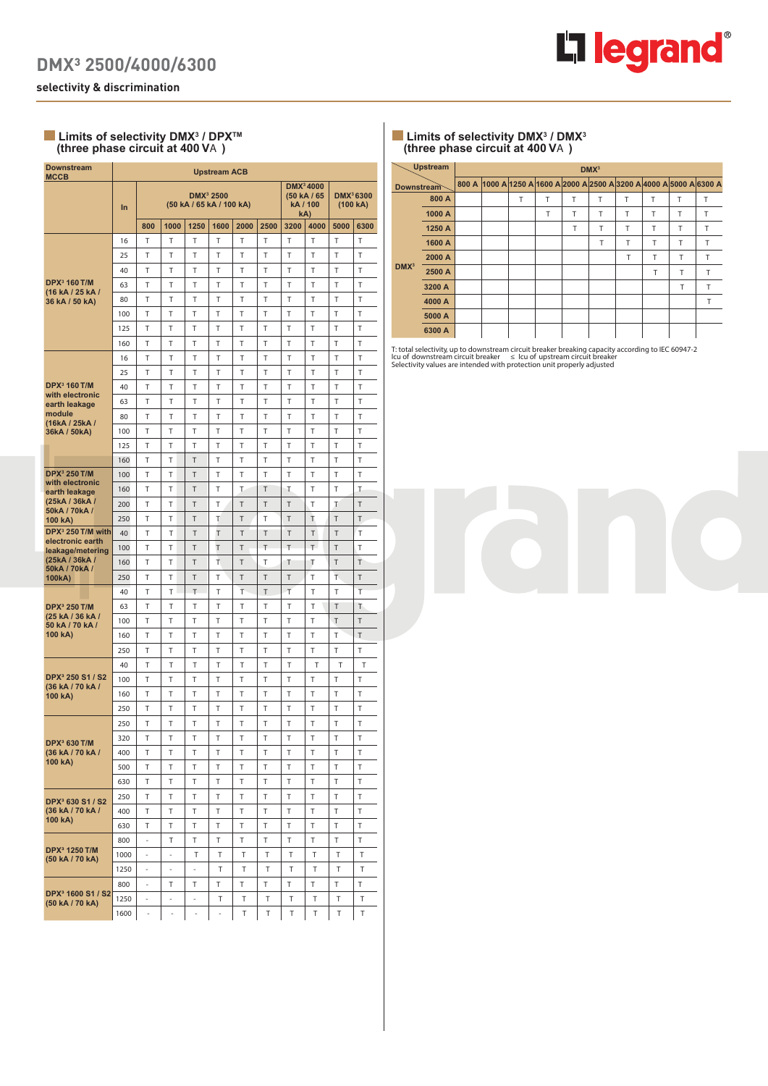

**selectivity & discrimination**

## Limits of selectivity DMX<sup>3</sup> / DPX<sup>™</sup> **(three phase circuit at 400 V**A **)**

| <b>Downstream</b><br><b>MCCB</b>                    | <b>Upstream ACB</b> |                          |                          |                                                   |      |      |      |      |                                                         |                                   |        |
|-----------------------------------------------------|---------------------|--------------------------|--------------------------|---------------------------------------------------|------|------|------|------|---------------------------------------------------------|-----------------------------------|--------|
|                                                     | In                  |                          |                          | DMX <sup>3</sup> 2500<br>(50 kA / 65 kA / 100 kA) |      |      |      |      | DMX <sup>3</sup> 4000<br>(50 kA / 65<br>kA / 100<br>kA) | DMX <sup>3</sup> 6300<br>(100 kA) |        |
|                                                     |                     | 800                      | 1000                     | 1250                                              | 1600 | 2000 | 2500 | 3200 | 4000                                                    | 5000                              | 6300   |
|                                                     | 16                  | T                        | T                        | T                                                 | T    | T    | T    | T    | T                                                       | T                                 | T      |
|                                                     | 25                  | Т                        | Т                        | Т                                                 | Т    | Т    | Т    | Т    | Т                                                       | T                                 | Т      |
|                                                     | 40                  | Т                        | Т                        | T                                                 | T    | T    | T    | T    | T                                                       | T                                 | T      |
| <b>DPX</b> <sup>3</sup> 160 T/M<br>(16 kA / 25 kA / | 63                  | Т                        | Т                        | T                                                 | T    | Т    | Т    | Т    | Т                                                       | T                                 | Т      |
| 36 kA / 50 kA)                                      | 80                  | T                        | Т                        | T                                                 | T    | T    | Т    | Т    | T                                                       | T                                 | T      |
|                                                     | 100                 | Т                        | T                        | T                                                 | T    | T    | T    | T    | T                                                       | T                                 | T      |
|                                                     | 125                 | Т                        | T                        | T                                                 | Т    | T    | T    | T    | Т                                                       | Т                                 | Т      |
|                                                     | 160                 | Т                        | Т                        | T                                                 | Τ    | T    | T    | T    | Т                                                       | T                                 | T      |
|                                                     | 16                  | Т                        | T                        | T                                                 | Т    | Т    | Т    | Т    | T                                                       | T                                 | Т      |
|                                                     | 25                  | T                        | Т                        | T                                                 | Т    | Τ    | T    | Т    | T                                                       | Т                                 | T      |
| <b>DPX</b> <sup>3</sup> 160 T/M<br>with electronic  | 40                  | Т                        | Т                        | Т                                                 | Т    | Т    | Т    | Т    | T                                                       | T                                 | T      |
| earth leakage                                       | 63                  | T                        | Т                        | T                                                 | T    | Т    | T    | T    | T                                                       | T                                 | T      |
| module<br>(16kA / 25kA /                            | 80                  | Т                        | Т                        | T                                                 | T    | Т    | T    | Т    | T                                                       | T                                 | T      |
| 36kA / 50kA)                                        | 100                 | Т                        | T                        | T                                                 | T    | T    | T    | T    | T                                                       | T                                 | T      |
|                                                     | 125                 | T                        | T                        | T                                                 | Τ    | T    | T    | T    | T                                                       | T                                 | T      |
|                                                     | 160                 | Τ                        | T                        | T                                                 | T    | T    | T    | T    | Т                                                       | Т                                 | Т      |
| <b>DPX<sup>3</sup> 250 T/M</b><br>with electronic   | 100                 | T                        | Т                        | T                                                 | Τ    | T    | T    | T    | Т                                                       | T                                 | T      |
| earth leakage                                       | 160                 | T                        | T                        | T                                                 | T    | Τ    | T    | Τ    | T                                                       | Т                                 | T      |
| (25kA / 36kA /<br>50kA / 70kA /                     | 200                 | T                        | Т                        | T                                                 | Т    | T    | T    | T    | Т                                                       | T                                 | T      |
| 100 kA)                                             | 250                 | T                        | Т                        | Τ                                                 | Т    | T    | T    | Τ    | T                                                       | T                                 | T      |
| DPX <sup>3</sup> 250 T/M with<br>electronic earth   | 40                  | T                        | Т                        | T                                                 | T    | T    | Τ    | T    | T                                                       | T                                 | T      |
| leakage/metering                                    | 100                 | Т                        | Т                        | Τ                                                 | T    | T    | T    | T    | T.                                                      | T                                 | Т      |
| (25kA / 36kA /<br>50kA / 70kA /                     | 160                 | T                        | T                        | T                                                 | Т    | T    | Т    | Τ    | Τ                                                       | T                                 | T      |
| 100kA)                                              | 250                 | Т                        | Т                        | T                                                 | Τ    | T    | T    | T    | Т                                                       | T.                                | T      |
|                                                     | 40                  | T                        | т                        | T                                                 | T    | T    | T    | T    | Т                                                       | T                                 | Т      |
| <b>DPX</b> <sup>3</sup> 250 T/M<br>(25 kA / 36 kA / | 63                  | Т                        | Т                        | Т                                                 | T    | Т    | T    | Т    | T                                                       | T                                 | Т      |
| 50 kA / 70 kA /                                     | 100                 | Т                        | T                        | T                                                 | T    | T    | T    | T    | Т                                                       | T                                 | T      |
| 100 kA)                                             | 160                 | T                        | T                        | Т                                                 | T    | T    | T    | T    | T                                                       | Т                                 | T      |
|                                                     | 250                 | T                        | T                        | Т                                                 | Т    | Т    | T    | Т    | T                                                       | T                                 | T      |
|                                                     | 40                  | T                        | Т                        | Т                                                 | T    | T    | T    | T    | T                                                       | Т                                 | Т      |
| DPX <sup>3</sup> 250 S1 / S2<br>(36 kA / 70 kA /    | 100                 | Т                        | Т                        | T                                                 | T    | Т    | T    | T    | T                                                       | T                                 | T      |
| 100 kA)                                             | 160                 | Т                        | Т                        | T                                                 | T    | T    | T    | T    | T                                                       | T                                 | T      |
|                                                     | 250                 | Т                        | Т                        | Т                                                 | Τ    | T    | T    | T    | Т                                                       | T                                 | T      |
|                                                     | 250                 | Т                        | Т                        | T                                                 | Т    | T    | T    | T    | Т                                                       | Т                                 | Т      |
| DPX <sup>3</sup> 630 T/M                            | 320                 | Т                        | Τ                        | Τ                                                 | Τ    | Τ    | Т    | Т    | Т                                                       | Т                                 | Т      |
| (36 kA / 70 kA /<br>100 kA)                         | 400                 | Т                        | Т                        | Т                                                 | Т    | Т    | T    | T    | Τ                                                       | Т                                 | Т      |
|                                                     | 500                 | Т                        | Т                        | Т                                                 | Т    | Т    | Τ    | Т    | Т                                                       | Т                                 | Τ      |
|                                                     | 630                 | Τ                        | Т                        | Т                                                 | Т    | Τ    | Т    | Т    | Т                                                       | T                                 | T      |
| DPX <sup>3</sup> 630 S1 / S2                        | 250                 | Т                        | Т                        | Т                                                 | T    | T    | T    | T    | T                                                       | T                                 | T      |
| (36 kA / 70 kA /<br>100 kA)                         | 400                 | Т                        | Т                        | Т                                                 | T    | T    | т    | T    | Т                                                       | Т                                 | T      |
|                                                     | 630                 | Т                        | Т                        | T                                                 | T.   | T.   | т    | T    | T                                                       | т                                 | T      |
| DPX <sup>3</sup> 1250 T/M                           | 800                 | ä,                       | Т                        | Т                                                 | T    | Т    | Т    | Τ    | T                                                       | Τ                                 | $\top$ |
| (50 kA / 70 kA)                                     | 1000                | $\blacksquare$           | $\blacksquare$           | Т                                                 | Т    | T    | Т    | Т    | Т                                                       | Т                                 | Т      |
|                                                     | 1250                | ÷,                       | $\overline{\phantom{a}}$ | $\Box$                                            | Т    | Т    | T    | Т    | Т                                                       | Т                                 | Т      |
| DPX <sup>3</sup> 1600 S1 / S2                       | 800                 | $\overline{\phantom{a}}$ | т                        | Т                                                 | T    | Τ    | T    | Τ    | T.                                                      | T.                                | T      |
| (50 kA / 70 kA)                                     | 1250                | -                        | $\overline{\phantom{a}}$ | $\overline{\phantom{a}}$                          | Т    | Т    | Т    | Т    | Т                                                       | Т                                 | Т      |
|                                                     | 1600                | ÷,                       | ÷,                       | $\overline{\phantom{a}}$                          | ä,   | T    | Т    | Τ    | Т                                                       | Т                                 | Т      |

## $\blacksquare$  Limits of selectivity DMX<sup>3</sup> / DMX<sup>3</sup> **(three phase circuit at 400 V**A **)**

|                  | <b>Upstream</b> | DMX <sup>3</sup> |                                                                      |   |   |   |   |   |   |   |   |
|------------------|-----------------|------------------|----------------------------------------------------------------------|---|---|---|---|---|---|---|---|
| Downstream       |                 |                  | 800 A 1000 A 1250 A 1600 A 2000 A 2500 A 3200 A 4000 A 5000 A 6300 A |   |   |   |   |   |   |   |   |
|                  | 800 A           |                  |                                                                      | T | т | Т | т | Т | Т | Т | Т |
|                  | 1000 A          |                  |                                                                      |   | Т | Т | Т | Т | Т | Т | т |
|                  | 1250 A          |                  |                                                                      |   |   | Т | т | T | т | Т | Т |
|                  | 1600 A          |                  |                                                                      |   |   |   | Т | Т | т | Т | Т |
|                  | 2000 A          |                  |                                                                      |   |   |   |   | Т | т | Т | T |
| DMX <sup>3</sup> | 2500 A          |                  |                                                                      |   |   |   |   |   | T | T | T |
|                  | 3200 A          |                  |                                                                      |   |   |   |   |   |   | т | т |
|                  | 4000 A          |                  |                                                                      |   |   |   |   |   |   |   | т |
|                  | 5000 A          |                  |                                                                      |   |   |   |   |   |   |   |   |
|                  | 6300 A          |                  |                                                                      |   |   |   |   |   |   |   |   |

T: total selectivity, up to downstream circuit breaker breaking capacity according to IEC 60947-2<br>Icu of downstream circuit breaker<br>Selectivity values are intended with protection unit properly adjusted

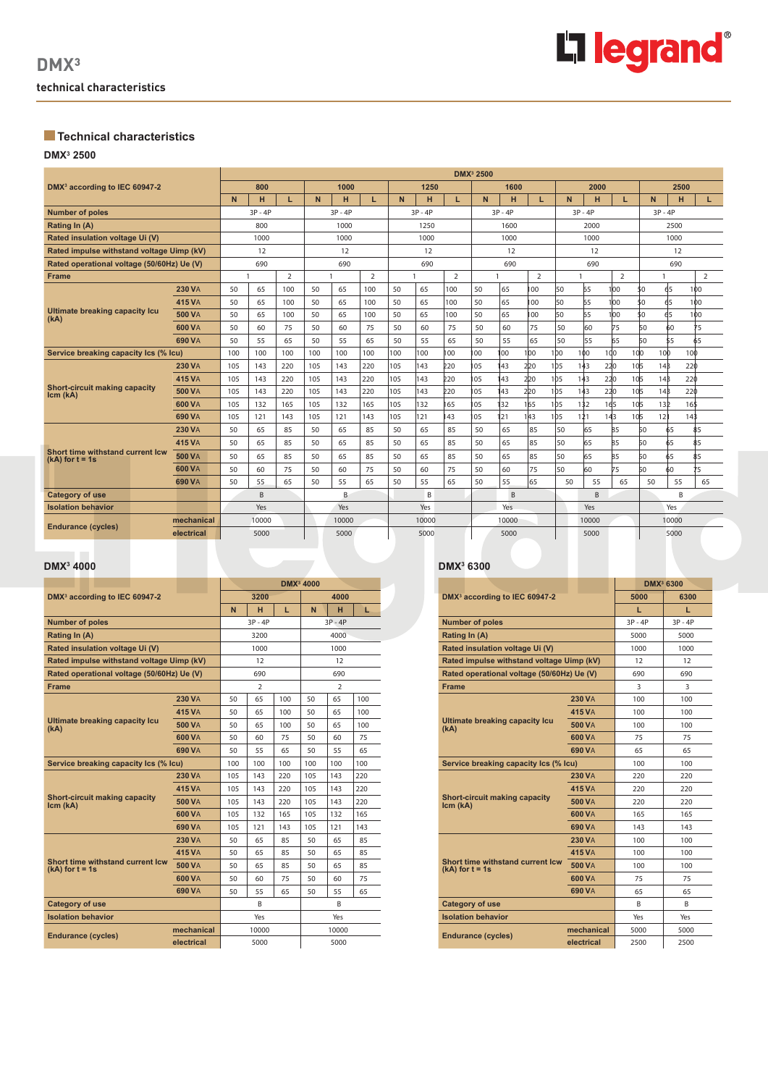

# **Technical characteristics**

### **DMX3 2500**

|                                            | <b>DMX</b> <sup>3</sup> 2500 |     |           |                |     |           |                |      |           |                |           |                |                |                 |       |           |                 |                 |      |
|--------------------------------------------|------------------------------|-----|-----------|----------------|-----|-----------|----------------|------|-----------|----------------|-----------|----------------|----------------|-----------------|-------|-----------|-----------------|-----------------|------|
| DMX <sup>3</sup> according to IEC 60947-2  |                              |     | 800       |                |     | 1000      |                |      | 1250      |                |           | 1600           |                |                 | 2000  |           |                 | 2500            |      |
|                                            |                              | N.  | н         | L.             | N   | н         | L.             | N.   | н         | L              | N         | H              | L              | N               | н     | L.        |                 | н<br>N.         | L.   |
| <b>Number of poles</b>                     |                              |     | $3P - 4P$ |                |     | $3P - 4P$ |                |      | $3P - 4P$ |                | $3P - 4P$ |                | $3P - 4P$      |                 |       | $3P - 4P$ |                 |                 |      |
| Rating In (A)                              |                              |     | 800       |                |     | 1000      |                | 1250 |           |                | 1600      |                | 2000           |                 |       | 2500      |                 |                 |      |
| Rated insulation voltage Ui (V)            |                              |     | 1000      |                |     | 1000      |                |      | 1000      |                |           | 1000           |                |                 | 1000  |           |                 | 1000            |      |
| Rated impulse withstand voltage Uimp (kV)  |                              |     | 12        |                | 12  |           |                |      | 12        |                |           | 12             |                |                 | 12    |           |                 | 12              |      |
| Rated operational voltage (50/60Hz) Ue (V) |                              |     | 690       |                | 690 |           |                |      | 690       |                |           | 690            |                |                 | 690   |           |                 | 690             |      |
| <b>Frame</b>                               |                              |     |           | $\overline{2}$ |     |           | $\overline{2}$ | -1   |           | $\overline{2}$ |           |                | $\overline{2}$ |                 |       | 2         |                 |                 | 2    |
|                                            | <b>230 VA</b>                | 50  | 65        | 100            | 50  | 65        | 100            | 50   | 65        | 100            | 50        | 65             | 100            | 50              | 65    | 100       | \$0             | 65              | 100  |
|                                            | <b>415 VA</b>                | 50  | 65        | 100            | 50  | 65        | 100            | 50   | 65        | 100            | 50        | 65             | 00             | 50              | 65    | 100       | 50              | 65              | 100  |
| Ultimate breaking capacity Icu<br>(kA)     | <b>500 VA</b>                | 50  | 65        | 100            | 50  | 65        | 100            | 50   | 65        | 100            | 50        | 65             | 00             | 50              | 65    | 100       | \$0             | 65              | 100  |
|                                            | <b>600 VA</b>                | 50  | 60        | 75             | 50  | 60        | 75             | 50   | 60        | 75             | 50        | 60             | 75             | 50              | 60    | 75        | 50              | 60              | 75   |
| 690 VA                                     |                              | 50  | 55        | 65             | 50  | 55        | 65             | 50   | 55        | 65             | 50        | 55             | 65             | 50              | 55    | 65        | 50              | 55              | 65   |
| Service breaking capacity Ics (% Icu)      | 100                          |     | 100       | 100            | 100 | 100       | 100            | 100  | 100       | 100            | 100       | 100            | 100            | 1 <sub>00</sub> | 100   | 100       | 10 <sub>0</sub> | 10 <sub>b</sub> | 100  |
|                                            | <b>230 VA</b>                | 105 | 143       | 220            | 105 | 143       | 220            | 105  | 143       | <b>220</b>     | 105       | 143            | 220            | 1 <sub>b5</sub> | 143   | 220       | 10 <sub>5</sub> | 14B             | 220  |
| Short-circuit making capacity              | 415 VA                       | 105 | 143       | 220            | 105 | 143       | 220            | 105  | 143       | <b>220</b>     | 105       | 143            | 220            | 1 <sub>b5</sub> | 143   | 220       | 10 <sub>5</sub> | 14B             | 220  |
| Icm (kA)                                   | <b>500 VA</b>                | 105 | 143       | 220            | 105 | 143       | 220            | 105  | 143       | 220            | 105       | 143            | 220            | 1 <sub>b5</sub> | 143   | 220       | 105             | 14B             | 220  |
|                                            | 600 VA                       | 105 | 132       | 165            | 105 | 132       | 165            | 105  | 132       | 165            | 105       | 132            | 1 65           | 105             | 132   | 165       | 10 <sub>5</sub> | 13 <sub>2</sub> | 16\$ |
|                                            | 690 VA                       | 105 | 121       | 143            | 105 | 121       | 143            | 105  | 121       | 43             | 105       | 121            | 143            | 1 <sub>b5</sub> | 121   | 143       | 105             | 12 <sup>h</sup> | 143  |
|                                            | <b>230 VA</b>                | 50  | 65        | 85             | 50  | 65        | 85             | 50   | 65        | 85             | 50        | 65             | 85             | 50              | 65    | 85        | 50              | 65              | 85   |
| Short time withstand current Icw           | <b>415 VA</b>                | 50  | 65        | 85             | 50  | 65        | 85             | 50   | 65        | 85             | 50        | 65             | 85             | 50              | 65    | 85        | 50              | 65              | \$5  |
| $(kA)$ for $t = 1s$                        | <b>500 VA</b>                | 50  | 65        | 85             | 50  | 65        | 85             | 50   | 65        | 85             | 50        | 65             | 85             | 50              | 65    | 85        | 50              | 65              | 85   |
|                                            | <b>600 VA</b>                | 50  | 60        | 75             | 50  | 60        | 75             | 50   | 60        | 75             | 50        | 60             | 75             | 50              | 60    | 75        | 50              | 60              | 5    |
|                                            | <b>690 VA</b>                | 50  | 55        | 65             | 50  | 55        | 65             | 50   | 55        | 65             | 50        | 55             | 65             | 50              | 55    | 65        | 50              | 55              | 65   |
| <b>Category of use</b>                     |                              |     | B.        |                |     | B         |                |      | B         |                |           | $\overline{B}$ |                |                 | B     |           |                 | B               |      |
| <b>Isolation behavior</b>                  |                              |     | Yes       |                |     | Yes       |                |      | Yes       |                |           | Yes            |                |                 | Yes   |           |                 | Yes             |      |
| <b>Endurance (cycles)</b>                  | mechanical                   |     | 10000     |                |     | 10000     |                |      | 10000     |                |           | 10000          |                |                 | 10000 |           |                 | 10000           |      |
|                                            | electrical                   |     | 5000      |                |     | 5000      |                |      | 5000      |                |           | 5000           |                |                 | 5000  |           |                 | 5000            |      |

### **DMX3**

|                                                                |               |                |           |     | <b>DMX<sup>3</sup> 4000</b> |           |     |  |  |
|----------------------------------------------------------------|---------------|----------------|-----------|-----|-----------------------------|-----------|-----|--|--|
| DMX <sup>3</sup> according to IEC 60947-2                      |               |                | 3200      |     |                             | 4000      |     |  |  |
|                                                                |               | N              | н         | L   | N                           | н         | L.  |  |  |
| <b>Number of poles</b>                                         |               |                | $3P - 4P$ |     |                             | $3P - 4P$ |     |  |  |
| Rating In (A)                                                  |               |                | 3200      |     | 4000                        |           |     |  |  |
| Rated insulation voltage Ui (V)                                |               | 1000           |           |     | 1000                        |           |     |  |  |
| Rated impulse withstand voltage Uimp (kV)                      |               | 12             |           |     | 12                          |           |     |  |  |
| Rated operational voltage (50/60Hz) Ue (V)                     |               | 690            |           |     | 690                         |           |     |  |  |
| <b>Frame</b>                                                   |               | $\overline{2}$ |           |     | $\overline{2}$              |           |     |  |  |
|                                                                | <b>230 VA</b> | 50             | 65        | 100 | 50                          | 65        | 100 |  |  |
|                                                                | 415 VA        | 50             | 65        | 100 | 50                          | 65        | 100 |  |  |
| <b>Ultimate breaking capacity Icu</b><br>(kA)                  | <b>500 VA</b> | 50             | 65        | 100 | 50                          | 65        | 100 |  |  |
|                                                                | 600 VA        | 50             | 60        | 75  | 50                          | 60        | 75  |  |  |
|                                                                | 690 VA        | 50             | 55        | 65  | 50                          | 55        | 65  |  |  |
| Service breaking capacity Ics (% Icu)                          |               | 100            | 100       | 100 | 100                         | 100       | 100 |  |  |
|                                                                | <b>230 VA</b> | 105            | 143       | 220 | 105                         | 143       | 220 |  |  |
|                                                                | <b>415 VA</b> | 105            | 143       | 220 | 105                         | 143       | 220 |  |  |
| <b>Short-circuit making capacity</b><br>Icm (kA)               | <b>500 VA</b> | 105            | 143       | 220 | 105                         | 143       | 220 |  |  |
|                                                                | 600 VA        | 105            | 132       | 165 | 105                         | 132       | 165 |  |  |
|                                                                | 690 VA        | 105            | 121       | 143 | 105                         | 121       | 143 |  |  |
|                                                                | <b>230 VA</b> | 50             | 65        | 85  | 50                          | 65        | 85  |  |  |
|                                                                | <b>415 VA</b> | 50             | 65        | 85  | 50                          | 65        | 85  |  |  |
| <b>Short time withstand current Icw</b><br>$(kA)$ for $t = 1s$ | <b>500 VA</b> | 50             | 65        | 85  | 50                          | 65        | 85  |  |  |
|                                                                | 600 VA        | 50             | 60        | 75  | 50                          | 60        | 75  |  |  |
|                                                                | 690 VA        | 50             | 55        | 65  | 50                          | 55        | 65  |  |  |
| <b>Category of use</b>                                         |               | B              |           | B   |                             |           |     |  |  |
| <b>Isolation behavior</b>                                      |               |                | Yes       |     |                             | Yes       |     |  |  |
| <b>Endurance (cycles)</b>                                      | mechanical    |                | 10000     |     | 10000                       |           |     |  |  |
|                                                                | electrical    |                | 5000      |     |                             | 5000      |     |  |  |

#### **4000 DMX3 6300**

л

|                                                                |               |           | <b>DMX<sup>3</sup> 6300</b> |
|----------------------------------------------------------------|---------------|-----------|-----------------------------|
| DMX <sup>3</sup> according to IEC 60947-2                      |               | 5000      | 6300                        |
|                                                                |               | п.        | п.                          |
| <b>Number of poles</b>                                         |               | $3P - 4P$ | $3P - 4P$                   |
| Rating In (A)                                                  | 5000          | 5000      |                             |
| Rated insulation voltage Ui (V)                                | 1000          | 1000      |                             |
| Rated impulse withstand voltage Uimp (kV)                      | 12            | 12        |                             |
| Rated operational voltage (50/60Hz) Ue (V)                     |               | 690       | 690                         |
| <b>Frame</b>                                                   | 3             | 3         |                             |
|                                                                | <b>230 VA</b> | 100       | 100                         |
|                                                                | <b>415 VA</b> | 100       | 100                         |
| Ultimate breaking capacity Icu<br>(kA)                         | <b>500 VA</b> | 100       | 100                         |
|                                                                | 600 VA        | 75        | 75                          |
|                                                                | 690 VA        | 65        | 65                          |
| Service breaking capacity Ics (% Icu)                          | 100           | 100       |                             |
|                                                                | <b>230 VA</b> | 220       | 220                         |
|                                                                | 415 VA        | 220       | 220                         |
| <b>Short-circuit making capacity</b><br>Icm (kA)               | <b>500 VA</b> | 220       | 220                         |
|                                                                | 600 VA        | 165       | 165                         |
|                                                                | 690 VA        | 143       | 143                         |
|                                                                | <b>230 VA</b> | 100       | 100                         |
|                                                                | 415 VA        | 100       | 100                         |
| <b>Short time withstand current Icw</b><br>$(kA)$ for $t = 1s$ | <b>500 VA</b> | 100       | 100                         |
|                                                                | 600 VA        | 75        | 75                          |
|                                                                | 690 VA        | 65        | 65                          |
| <b>Category of use</b>                                         |               | B         | B                           |
| <b>Isolation behavior</b>                                      |               | Yes       | Yes                         |
| <b>Endurance (cycles)</b>                                      | mechanical    | 5000      | 5000                        |
|                                                                | electrical    | 2500      | 2500                        |